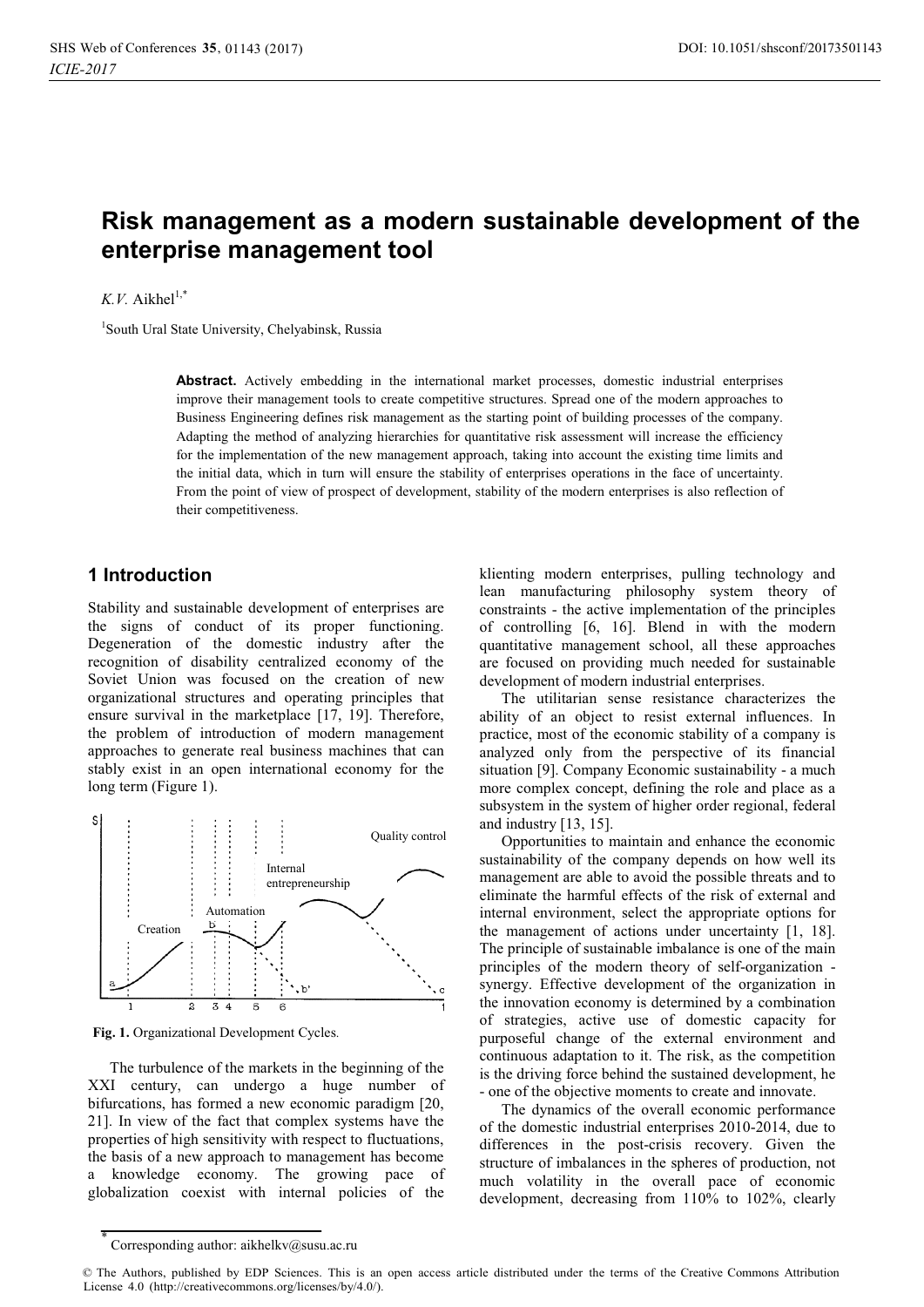# **Risk management as a modern sustainable development of the enterprise management tool**

 $K$ *.V.* Aikhel<sup>1,\*</sup>

1 South Ural State University, Chelyabinsk, Russia

**Abstract.** Actively embedding in the international market processes, domestic industrial enterprises improve their management tools to create competitive structures. Spread one of the modern approaches to Business Engineering defines risk management as the starting point of building processes of the company. Adapting the method of analyzing hierarchies for quantitative risk assessment will increase the efficiency for the implementation of the new management approach, taking into account the existing time limits and the initial data, which in turn will ensure the stability of enterprises operations in the face of uncertainty. From the point of view of prospect of development, stability of the modern enterprises is also reflection of their competitiveness.

## **1 Introduction**

Stability and sustainable development of enterprises are the signs of conduct of its proper functioning. Degeneration of the domestic industry after the recognition of disability centralized economy of the Soviet Union was focused on the creation of new organizational structures and operating principles that ensure survival in the marketplace [17, 19]. Therefore, the problem of introduction of modern management approaches to generate real business machines that can stably exist in an open international economy for the long term (Figure 1).



**Fig. 1.** Organizational Development Cycles.

The turbulence of the markets in the beginning of the XXI century, can undergo a huge number of bifurcations, has formed a new economic paradigm [20, 21]. In view of the fact that complex systems have the properties of high sensitivity with respect to fluctuations, the basis of a new approach to management has become a knowledge economy. The growing pace of globalization coexist with internal policies of the

klienting modern enterprises, pulling technology and lean manufacturing philosophy system theory of constraints - the active implementation of the principles of controlling [6, 16]. Blend in with the modern quantitative management school, all these approaches are focused on providing much needed for sustainable development of modern industrial enterprises.

The utilitarian sense resistance characterizes the ability of an object to resist external influences. In practice, most of the economic stability of a company is analyzed only from the perspective of its financial situation [9]. Company Economic sustainability - a much more complex concept, defining the role and place as a subsystem in the system of higher order regional, federal and industry [13, 15].

Opportunities to maintain and enhance the economic sustainability of the company depends on how well its management are able to avoid the possible threats and to eliminate the harmful effects of the risk of external and internal environment, select the appropriate options for the management of actions under uncertainty [1, 18]. The principle of sustainable imbalance is one of the main principles of the modern theory of self-organization synergy. Effective development of the organization in the innovation economy is determined by a combination of strategies, active use of domestic capacity for purposeful change of the external environment and continuous adaptation to it. The risk, as the competition is the driving force behind the sustained development, he - one of the objective moments to create and innovate.

The dynamics of the overall economic performance of the domestic industrial enterprises 2010-2014, due to differences in the post-crisis recovery. Given the structure of imbalances in the spheres of production, not much volatility in the overall pace of economic development, decreasing from 110% to 102%, clearly

<sup>\*</sup> Corresponding author: aikhelkv@susu.ac.ru

<sup>©</sup> The Authors, published by EDP Sciences. This is an open access article distributed under the terms of the Creative Commons Attribution License 4.0 (http://creativecommons.org/licenses/by/4.0/).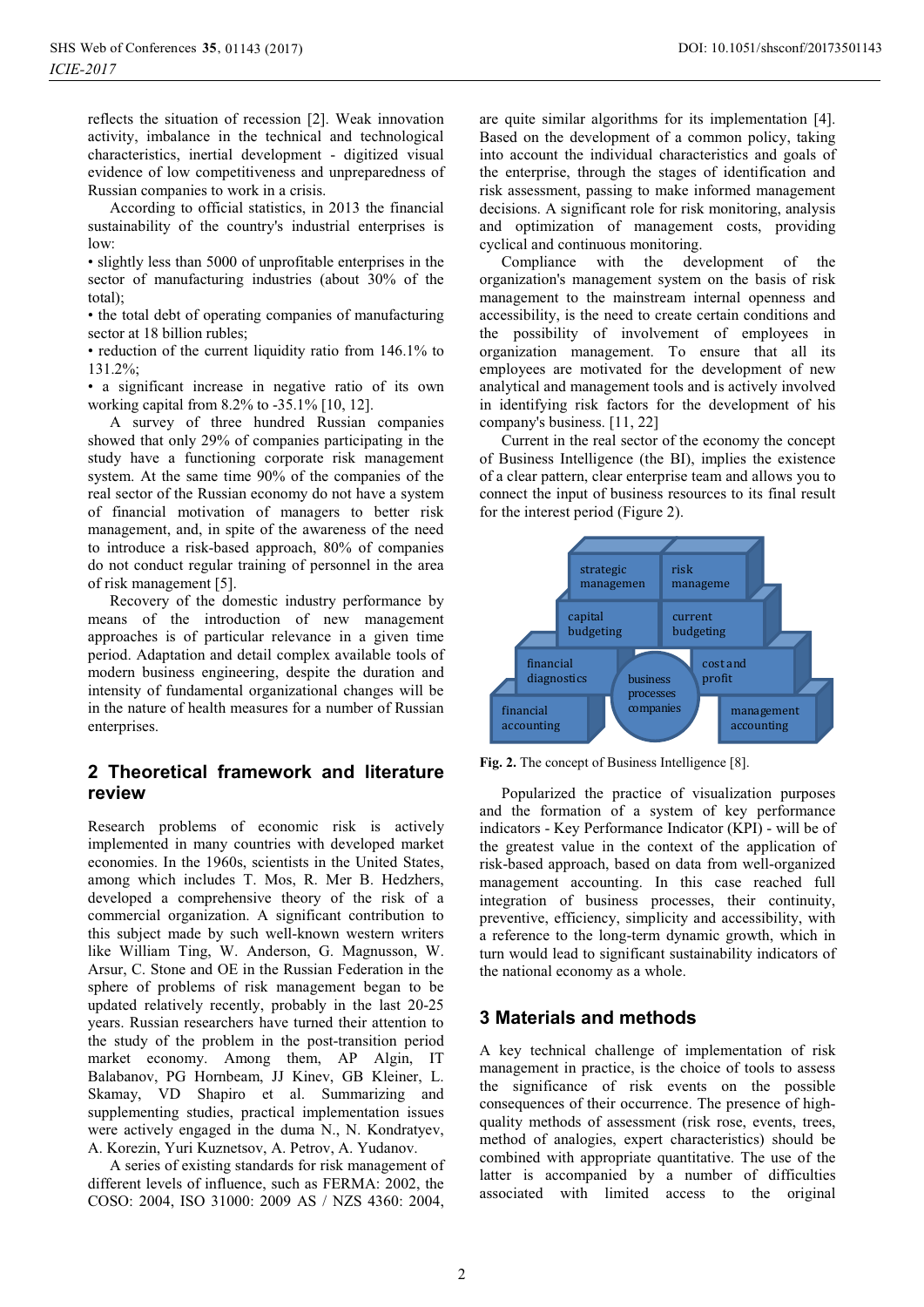reflects the situation of recession [2]. Weak innovation activity, imbalance in the technical and technological characteristics, inertial development - digitized visual evidence of low competitiveness and unpreparedness of Russian companies to work in a crisis.

According to official statistics, in 2013 the financial sustainability of the country's industrial enterprises is low:

slightly less than 5000 of unprofitable enterprises in the sector of manufacturing industries (about 30% of the total);

• the total debt of operating companies of manufacturing sector at 18 billion rubles;

 $\cdot$  reduction of the current liquidity ratio from 146.1% to 131.2%;

 a significant increase in negative ratio of its own working capital from 8.2% to -35.1% [10, 12].

A survey of three hundred Russian companies showed that only 29% of companies participating in the study have a functioning corporate risk management system. At the same time 90% of the companies of the real sector of the Russian economy do not have a system of financial motivation of managers to better risk management, and, in spite of the awareness of the need to introduce a risk-based approach, 80% of companies do not conduct regular training of personnel in the area of risk management [5].

Recovery of the domestic industry performance by means of the introduction of new management approaches is of particular relevance in a given time period. Adaptation and detail complex available tools of modern business engineering, despite the duration and intensity of fundamental organizational changes will be in the nature of health measures for a number of Russian enterprises.

# **2 Theoretical framework and literature review**

Research problems of economic risk is actively implemented in many countries with developed market economies. In the 1960s, scientists in the United States, among which includes T. Mos, R. Mer B. Hedzhers, developed a comprehensive theory of the risk of a commercial organization. A significant contribution to this subject made by such well-known western writers like William Ting, W. Anderson, G. Magnusson, W. Arsur, C. Stone and OE in the Russian Federation in the sphere of problems of risk management began to be updated relatively recently, probably in the last 20-25 years. Russian researchers have turned their attention to the study of the problem in the post-transition period market economy. Among them, AP Algin, IT Balabanov, PG Hornbeam, JJ Kinev, GB Kleiner, L. Skamay, VD Shapiro et al. Summarizing and supplementing studies, practical implementation issues were actively engaged in the duma N., N. Kondratyev, A. Korezin, Yuri Kuznetsov, A. Petrov, A. Yudanov.

A series of existing standards for risk management of different levels of influence, such as FERMA: 2002, the COSO: 2004, ISO 31000: 2009 AS / NZS 4360: 2004,

are quite similar algorithms for its implementation [4]. Based on the development of a common policy, taking into account the individual characteristics and goals of the enterprise, through the stages of identification and risk assessment, passing to make informed management decisions. A significant role for risk monitoring, analysis and optimization of management costs, providing cyclical and continuous monitoring.

Compliance with the development of the organization's management system on the basis of risk management to the mainstream internal openness and accessibility, is the need to create certain conditions and the possibility of involvement of employees in organization management. To ensure that all its employees are motivated for the development of new analytical and management tools and is actively involved in identifying risk factors for the development of his company's business. [11, 22]

Current in the real sector of the economy the concept of Business Intelligence (the BI), implies the existence of a clear pattern, clear enterprise team and allows you to connect the input of business resources to its final result for the interest period (Figure 2).



**Fig. 2.** The concept of Business Intelligence [8].

Popularized the practice of visualization purposes and the formation of a system of key performance indicators - Key Performance Indicator (KPI) - will be of the greatest value in the context of the application of risk-based approach, based on data from well-organized management accounting. In this case reached full integration of business processes, their continuity, preventive, efficiency, simplicity and accessibility, with a reference to the long-term dynamic growth, which in turn would lead to significant sustainability indicators of the national economy as a whole.

# **3 Materials and methods**

A key technical challenge of implementation of risk management in practice, is the choice of tools to assess the significance of risk events on the possible consequences of their occurrence. The presence of highquality methods of assessment (risk rose, events, trees, method of analogies, expert characteristics) should be combined with appropriate quantitative. The use of the latter is accompanied by a number of difficulties associated with limited access to the original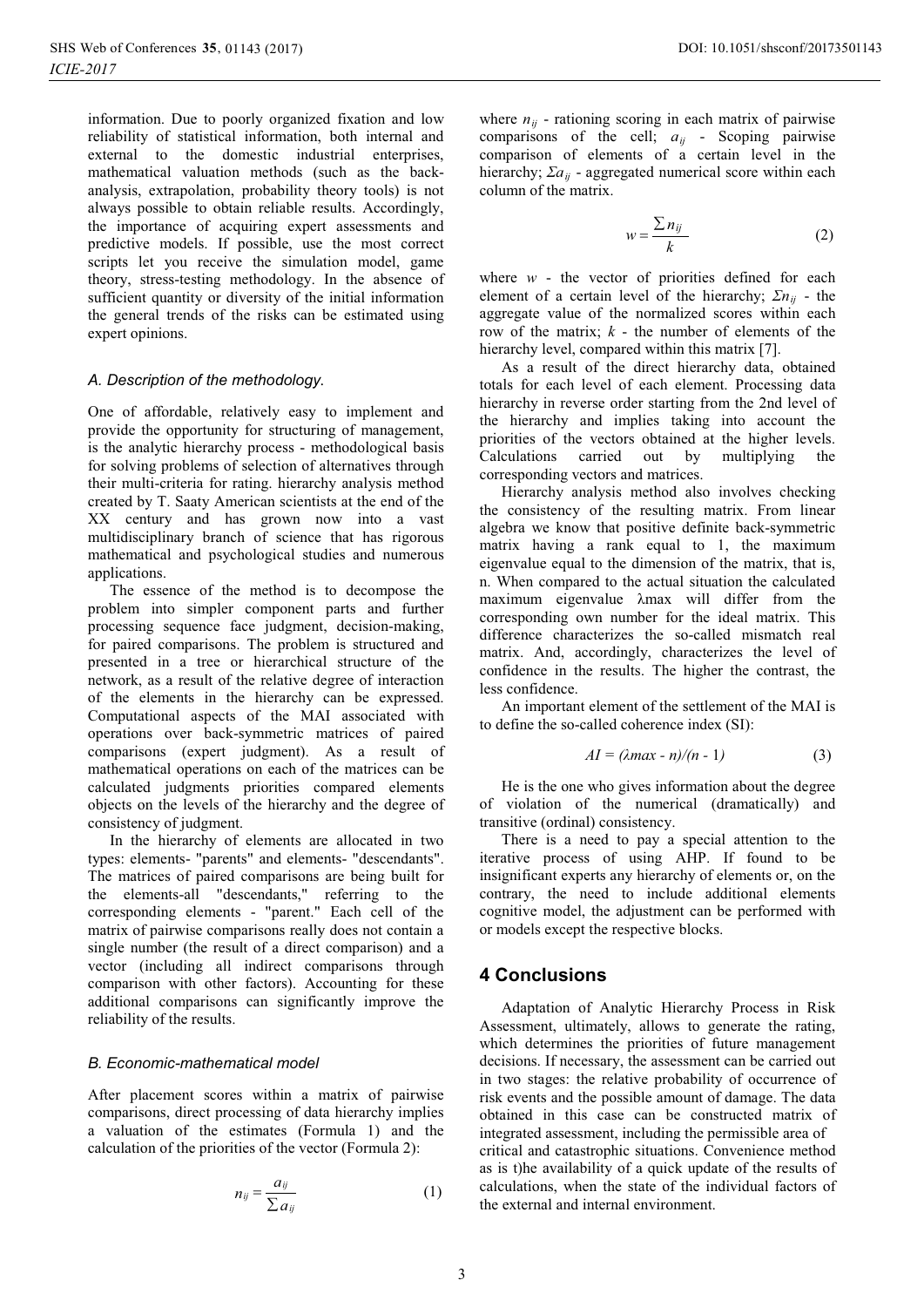information. Due to poorly organized fixation and low reliability of statistical information, both internal and external to the domestic industrial enterprises, mathematical valuation methods (such as the backanalysis, extrapolation, probability theory tools) is not always possible to obtain reliable results. Accordingly, the importance of acquiring expert assessments and predictive models. If possible, use the most correct scripts let you receive the simulation model, game theory, stress-testing methodology. In the absence of sufficient quantity or diversity of the initial information the general trends of the risks can be estimated using expert opinions.

#### *A. Description of the methodology.*

One of affordable, relatively easy to implement and provide the opportunity for structuring of management, is the analytic hierarchy process - methodological basis for solving problems of selection of alternatives through their multi-criteria for rating. hierarchy analysis method created by T. Saaty American scientists at the end of the XX century and has grown now into a vast multidisciplinary branch of science that has rigorous mathematical and psychological studies and numerous applications.

The essence of the method is to decompose the problem into simpler component parts and further processing sequence face judgment, decision-making, for paired comparisons. The problem is structured and presented in a tree or hierarchical structure of the network, as a result of the relative degree of interaction of the elements in the hierarchy can be expressed. Computational aspects of the MAI associated with operations over back-symmetric matrices of paired comparisons (expert judgment). As a result of mathematical operations on each of the matrices can be calculated judgments priorities compared elements objects on the levels of the hierarchy and the degree of consistency of judgment.

In the hierarchy of elements are allocated in two types: elements- "parents" and elements- "descendants". The matrices of paired comparisons are being built for the elements-all "descendants," referring to the corresponding elements - "parent." Each cell of the matrix of pairwise comparisons really does not contain a single number (the result of a direct comparison) and a vector (including all indirect comparisons through comparison with other factors). Accounting for these additional comparisons can significantly improve the reliability of the results.

#### *B. Economic-mathematical model*

After placement scores within a matrix of pairwise comparisons, direct processing of data hierarchy implies a valuation of the estimates (Formula 1) and the calculation of the priorities of the vector (Formula 2):

$$
n_{ij} = \frac{a_{ij}}{\sum a_{ij}} \tag{1}
$$

where  $n_{ij}$  - rationing scoring in each matrix of pairwise comparisons of the cell;  $a_{ij}$  - Scoping pairwise comparison of elements of a certain level in the hierarchy;  $\sum a_{ij}$  - aggregated numerical score within each column of the matrix.

$$
w = \frac{\sum n_{ij}}{k} \tag{2}
$$

where  $w$  - the vector of priorities defined for each element of a certain level of the hierarchy;  $\sum n_{ij}$  - the aggregate value of the normalized scores within each row of the matrix; *k* - the number of elements of the hierarchy level, compared within this matrix [7].

As a result of the direct hierarchy data, obtained totals for each level of each element. Processing data hierarchy in reverse order starting from the 2nd level of the hierarchy and implies taking into account the priorities of the vectors obtained at the higher levels. Calculations carried out by multiplying the corresponding vectors and matrices.

Hierarchy analysis method also involves checking the consistency of the resulting matrix. From linear algebra we know that positive definite back-symmetric matrix having a rank equal to 1, the maximum eigenvalue equal to the dimension of the matrix, that is, n. When compared to the actual situation the calculated maximum eigenvalue  $\lambda$ max will differ from the corresponding own number for the ideal matrix. This difference characterizes the so-called mismatch real matrix. And, accordingly, characterizes the level of confidence in the results. The higher the contrast, the less confidence.

An important element of the settlement of the MAI is to define the so-called coherence index (SI):

$$
AI = (\lambda max - n)/(n - 1)
$$
 (3)

He is the one who gives information about the degree of violation of the numerical (dramatically) and transitive (ordinal) consistency.

There is a need to pay a special attention to the iterative process of using AHP. If found to be insignificant experts any hierarchy of elements or, on the contrary, the need to include additional elements cognitive model, the adjustment can be performed with or models except the respective blocks.

### **4 Conclusions**

Adaptation of Analytic Hierarchy Process in Risk Assessment, ultimately, allows to generate the rating, which determines the priorities of future management decisions. If necessary, the assessment can be carried out in two stages: the relative probability of occurrence of risk events and the possible amount of damage. The data obtained in this case can be constructed matrix of integrated assessment, including the permissible area of critical and catastrophic situations. Convenience method as is t)he availability of a quick update of the results of calculations, when the state of the individual factors of the external and internal environment.